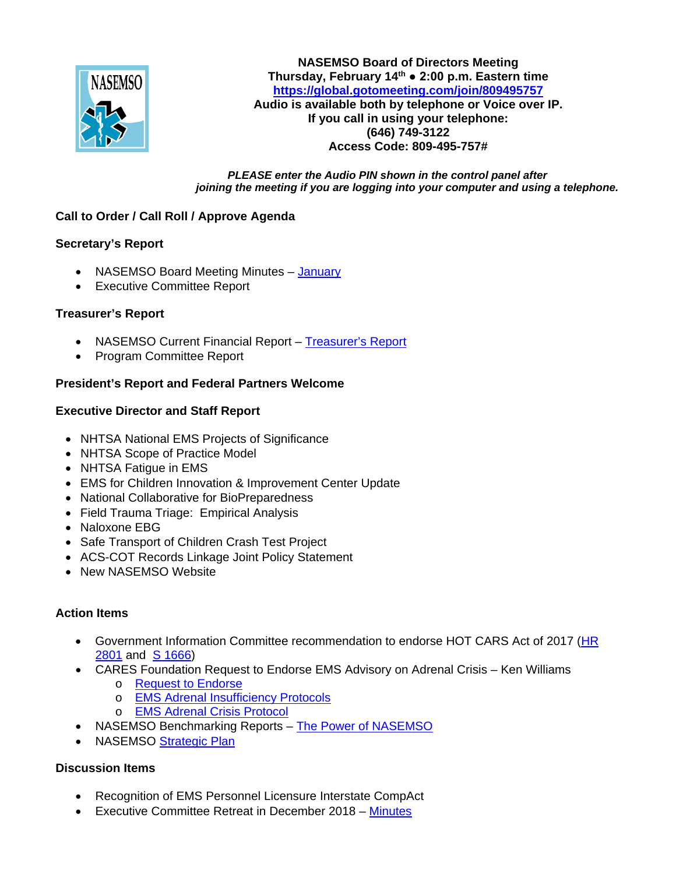

**NASEMSO Board of Directors Meeting Thursday, February 14th ● 2:00 p.m. Eastern time <https://global.gotomeeting.com/join/809495757> Audio is available both by telephone or Voice over IP. If you call in using your telephone: (646) 749-3122 Access Code: 809-495-757#**

*PLEASE enter the Audio PIN shown in the control panel after joining the meeting if you are logging into your computer and using a telephone.*

# **Call to Order / Call Roll / Approve Agenda**

## **Secretary's Report**

- NASEMSO Board Meeting Minutes [January](https://drive.google.com/open?id=1HoYmtg4qz6okFy3kg8ddXuzqIpoyivbU)
- Executive Committee Report

## **Treasurer's Report**

- NASEMSO Current Financial Report [Treasurer's Report](https://drive.google.com/open?id=1LKxn7ct4fosuxV52aXNyvnFjZgCT78CB)
- Program Committee Report

## **President's Report and Federal Partners Welcome**

## **Executive Director and Staff Report**

- NHTSA National EMS Projects of Significance
- NHTSA Scope of Practice Model
- NHTSA Fatigue in EMS
- EMS for Children Innovation & Improvement Center Update
- National Collaborative for BioPreparedness
- Field Trauma Triage: Empirical Analysis
- Naloxone EBG
- Safe Transport of Children Crash Test Project
- ACS-COT Records Linkage Joint Policy Statement
- New NASEMSO Website

#### **Action Items**

- Government Information Committee recommendation to endorse HOT CARS Act of 2017 [\(HR](https://www.congress.gov/bill/115th-congress/house-bill/2801)  [2801](https://www.congress.gov/bill/115th-congress/house-bill/2801) and [S 1666\)](https://www.congress.gov/bill/115th-congress/senate-bill/1666)
- CARES Foundation Request to Endorse EMS Advisory on Adrenal Crisis Ken Williams
	- o [Request to Endorse](https://drive.google.com/open?id=1I5rZlKKrjHHFgotl2xqveBYeNOMA4Ews)
	- o [EMS Adrenal Insufficiency](https://drive.google.com/open?id=1I-pmFJbN22r6lLMeslg3sSKS0BlILA8t) Protocols
	- o [EMS Adrenal Crisis Protocol](https://drive.google.com/open?id=1HyaPVmsL1tfc0RrPkUG4K_R3bqO5pRqL)
- NASEMSO Benchmarking Reports [The Power of NASEMSO](https://drive.google.com/open?id=1IdoTqhSD6UMzibpheZyKvg9zmsg-SLx0)
- NASEMSO [Strategic Plan](https://drive.google.com/open?id=1LweWMx-L5OmVXKPQiMyHJJtG_EE4EFEE)

## **Discussion Items**

- Recognition of EMS Personnel Licensure Interstate CompAct
- Executive Committee Retreat in December 2018 [Minutes](https://drive.google.com/file/d/1IA1k6mvtDVONqOijceNq6DvLTvjngBiv/view?usp=sharing)